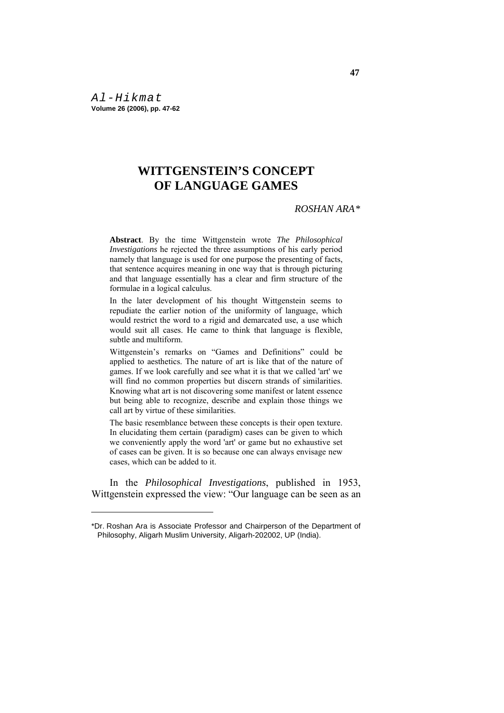*Al-Hikmat*  **Volume 26 (2006), pp. 47-62** 

<u>.</u>

# **WITTGENSTEIN'S CONCEPT OF LANGUAGE GAMES**

# *ROSHAN ARA\**

**Abstract**. By the time Wittgenstein wrote *The Philosophical Investigations* he rejected the three assumptions of his early period namely that language is used for one purpose the presenting of facts, that sentence acquires meaning in one way that is through picturing and that language essentially has a clear and firm structure of the formulae in a logical calculus.

In the later development of his thought Wittgenstein seems to repudiate the earlier notion of the uniformity of language, which would restrict the word to a rigid and demarcated use, a use which would suit all cases. He came to think that language is flexible, subtle and multiform.

Wittgenstein's remarks on "Games and Definitions" could be applied to aesthetics. The nature of art is like that of the nature of games. If we look carefully and see what it is that we called 'art' we will find no common properties but discern strands of similarities. Knowing what art is not discovering some manifest or latent essence but being able to recognize, describe and explain those things we call art by virtue of these similarities.

The basic resemblance between these concepts is their open texture. In elucidating them certain (paradigm) cases can be given to which we conveniently apply the word 'art' or game but no exhaustive set of cases can be given. It is so because one can always envisage new cases, which can be added to it.

 In the *Philosophical Investigations*, published in 1953, Wittgenstein expressed the view: "Our language can be seen as an

<sup>\*</sup>Dr. Roshan Ara is Associate Professor and Chairperson of the Department of Philosophy, Aligarh Muslim University, Aligarh-202002, UP (India).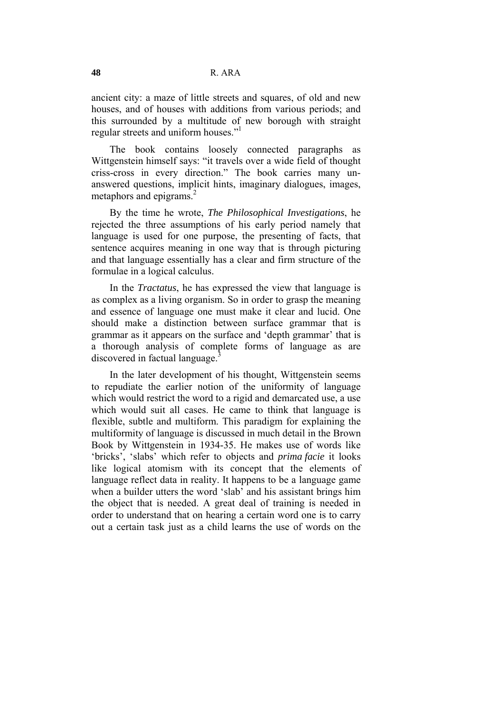ancient city: a maze of little streets and squares, of old and new houses, and of houses with additions from various periods; and this surrounded by a multitude of new borough with straight regular streets and uniform houses."<sup>1</sup>

 The book contains loosely connected paragraphs as Wittgenstein himself says: "it travels over a wide field of thought criss-cross in every direction." The book carries many unanswered questions, implicit hints, imaginary dialogues, images, metaphors and epigrams.<sup>2</sup>

 By the time he wrote, *The Philosophical Investigations*, he rejected the three assumptions of his early period namely that language is used for one purpose, the presenting of facts, that sentence acquires meaning in one way that is through picturing and that language essentially has a clear and firm structure of the formulae in a logical calculus.

 In the *Tractatus*, he has expressed the view that language is as complex as a living organism. So in order to grasp the meaning and essence of language one must make it clear and lucid. One should make a distinction between surface grammar that is grammar as it appears on the surface and 'depth grammar' that is a thorough analysis of complete forms of language as are discovered in factual language.<sup>3</sup>

 In the later development of his thought, Wittgenstein seems to repudiate the earlier notion of the uniformity of language which would restrict the word to a rigid and demarcated use, a use which would suit all cases. He came to think that language is flexible, subtle and multiform. This paradigm for explaining the multiformity of language is discussed in much detail in the Brown Book by Wittgenstein in 1934-35. He makes use of words like 'bricks', 'slabs' which refer to objects and *prima facie* it looks like logical atomism with its concept that the elements of language reflect data in reality. It happens to be a language game when a builder utters the word 'slab' and his assistant brings him the object that is needed. A great deal of training is needed in order to understand that on hearing a certain word one is to carry out a certain task just as a child learns the use of words on the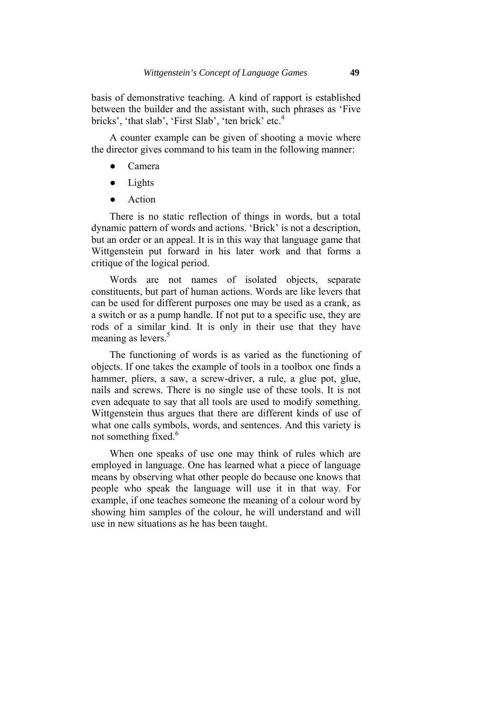basis of demonstrative teaching. A kind of rapport is established between the builder and the assistant with, such phrases as 'Five bricks', 'that slab', 'First Slab', 'ten brick' etc.<sup>4</sup>

 A counter example can be given of shooting a movie where the director gives command to his team in the following manner:

- Camera
- Lights
- Action

 There is no static reflection of things in words, but a total dynamic pattern of words and actions. 'Brick' is not a description, but an order or an appeal. It is in this way that language game that Wittgenstein put forward in his later work and that forms a critique of the logical period.

 Words are not names of isolated objects, separate constituents, but part of human actions. Words are like levers that can be used for different purposes one may be used as a crank, as a switch or as a pump handle. If not put to a specific use, they are rods of a similar kind. It is only in their use that they have meaning as levers.<sup>5</sup>

 The functioning of words is as varied as the functioning of objects. If one takes the example of tools in a toolbox one finds a hammer, pliers, a saw, a screw-driver, a rule, a glue pot, glue, nails and screws. There is no single use of these tools. It is not even adequate to say that all tools are used to modify something. Wittgenstein thus argues that there are different kinds of use of what one calls symbols, words, and sentences. And this variety is not something fixed.<sup>6</sup>

 When one speaks of use one may think of rules which are employed in language. One has learned what a piece of language means by observing what other people do because one knows that people who speak the language will use it in that way. For example, if one teaches someone the meaning of a colour word by showing him samples of the colour, he will understand and will use in new situations as he has been taught.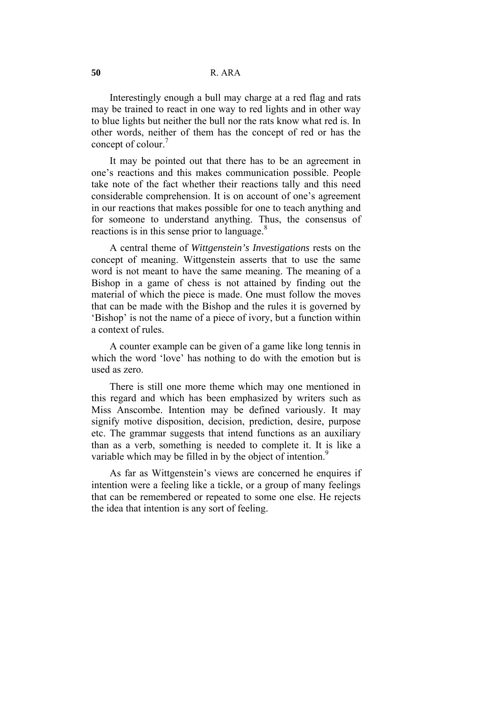Interestingly enough a bull may charge at a red flag and rats may be trained to react in one way to red lights and in other way to blue lights but neither the bull nor the rats know what red is. In other words, neither of them has the concept of red or has the concept of colour.<sup>7</sup>

 It may be pointed out that there has to be an agreement in one's reactions and this makes communication possible. People take note of the fact whether their reactions tally and this need considerable comprehension. It is on account of one's agreement in our reactions that makes possible for one to teach anything and for someone to understand anything. Thus, the consensus of reactions is in this sense prior to language.<sup>8</sup>

 A central theme of *Wittgenstein's Investigations* rests on the concept of meaning. Wittgenstein asserts that to use the same word is not meant to have the same meaning. The meaning of a Bishop in a game of chess is not attained by finding out the material of which the piece is made. One must follow the moves that can be made with the Bishop and the rules it is governed by 'Bishop' is not the name of a piece of ivory, but a function within a context of rules.

 A counter example can be given of a game like long tennis in which the word 'love' has nothing to do with the emotion but is used as zero.

 There is still one more theme which may one mentioned in this regard and which has been emphasized by writers such as Miss Anscombe. Intention may be defined variously. It may signify motive disposition, decision, prediction, desire, purpose etc. The grammar suggests that intend functions as an auxiliary than as a verb, something is needed to complete it. It is like a variable which may be filled in by the object of intention.<sup>9</sup>

 As far as Wittgenstein's views are concerned he enquires if intention were a feeling like a tickle, or a group of many feelings that can be remembered or repeated to some one else. He rejects the idea that intention is any sort of feeling.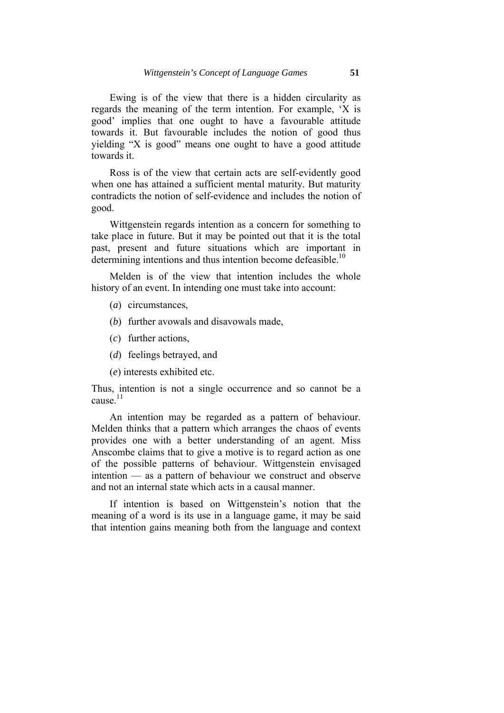Ewing is of the view that there is a hidden circularity as regards the meaning of the term intention. For example, 'X is good' implies that one ought to have a favourable attitude towards it. But favourable includes the notion of good thus yielding "X is good" means one ought to have a good attitude towards it.

 Ross is of the view that certain acts are self-evidently good when one has attained a sufficient mental maturity. But maturity contradicts the notion of self-evidence and includes the notion of good.

 Wittgenstein regards intention as a concern for something to take place in future. But it may be pointed out that it is the total past, present and future situations which are important in determining intentions and thus intention become defeasible.<sup>10</sup>

 Melden is of the view that intention includes the whole history of an event. In intending one must take into account:

- (*a*) circumstances,
- (*b*) further avowals and disavowals made,
- (*c*) further actions,
- (*d*) feelings betrayed, and
- (*e*) interests exhibited etc.

Thus, intention is not a single occurrence and so cannot be a cause $^{11}$ 

 An intention may be regarded as a pattern of behaviour. Melden thinks that a pattern which arranges the chaos of events provides one with a better understanding of an agent. Miss Anscombe claims that to give a motive is to regard action as one of the possible patterns of behaviour. Wittgenstein envisaged intention — as a pattern of behaviour we construct and observe and not an internal state which acts in a causal manner.

 If intention is based on Wittgenstein's notion that the meaning of a word is its use in a language game, it may be said that intention gains meaning both from the language and context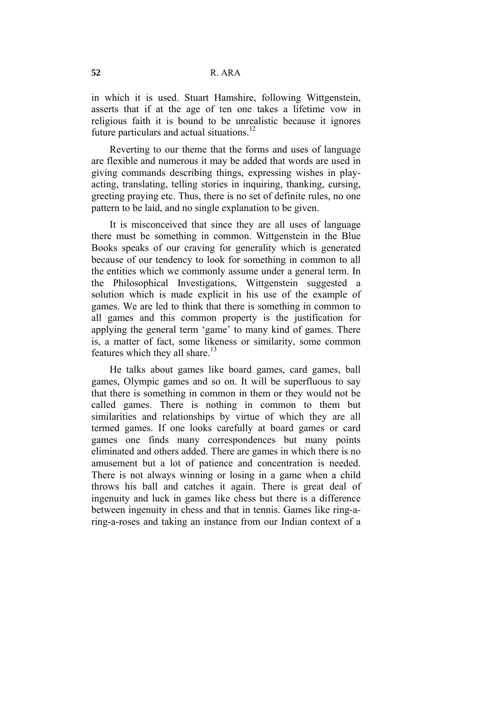in which it is used. Stuart Hamshire, following Wittgenstein, asserts that if at the age of ten one takes a lifetime vow in religious faith it is bound to be unrealistic because it ignores future particulars and actual situations. $12$ 

 Reverting to our theme that the forms and uses of language are flexible and numerous it may be added that words are used in giving commands describing things, expressing wishes in playacting, translating, telling stories in inquiring, thanking, cursing, greeting praying etc. Thus, there is no set of definite rules, no one pattern to be laid, and no single explanation to be given.

 It is misconceived that since they are all uses of language there must be something in common. Wittgenstein in the Blue Books speaks of our craving for generality which is generated because of our tendency to look for something in common to all the entities which we commonly assume under a general term. In the Philosophical Investigations, Wittgenstein suggested a solution which is made explicit in his use of the example of games. We are led to think that there is something in common to all games and this common property is the justification for applying the general term 'game' to many kind of games. There is, a matter of fact, some likeness or similarity, some common features which they all share. $13$ 

 He talks about games like board games, card games, ball games, Olympic games and so on. It will be superfluous to say that there is something in common in them or they would not be called games. There is nothing in common to them but similarities and relationships by virtue of which they are all termed games. If one looks carefully at board games or card games one finds many correspondences but many points eliminated and others added. There are games in which there is no amusement but a lot of patience and concentration is needed. There is not always winning or losing in a game when a child throws his ball and catches it again. There is great deal of ingenuity and luck in games like chess but there is a difference between ingenuity in chess and that in tennis. Games like ring-aring-a-roses and taking an instance from our Indian context of a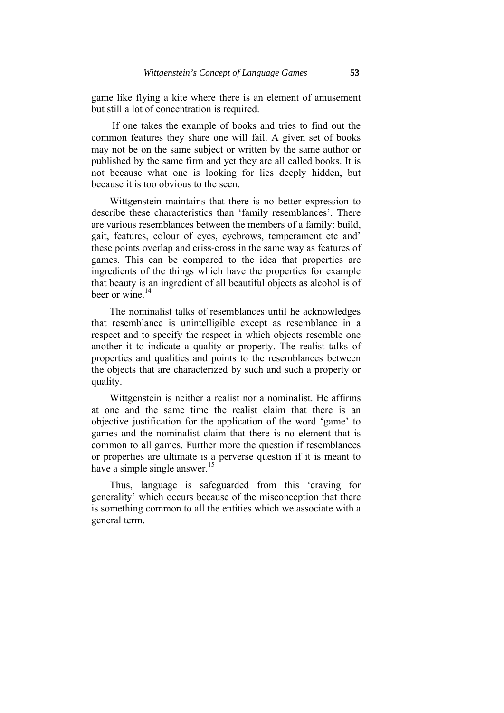game like flying a kite where there is an element of amusement but still a lot of concentration is required.

 If one takes the example of books and tries to find out the common features they share one will fail. A given set of books may not be on the same subject or written by the same author or published by the same firm and yet they are all called books. It is not because what one is looking for lies deeply hidden, but because it is too obvious to the seen.

 Wittgenstein maintains that there is no better expression to describe these characteristics than 'family resemblances'. There are various resemblances between the members of a family: build, gait, features, colour of eyes, eyebrows, temperament etc and' these points overlap and criss-cross in the same way as features of games. This can be compared to the idea that properties are ingredients of the things which have the properties for example that beauty is an ingredient of all beautiful objects as alcohol is of beer or wine. $14$ 

 The nominalist talks of resemblances until he acknowledges that resemblance is unintelligible except as resemblance in a respect and to specify the respect in which objects resemble one another it to indicate a quality or property. The realist talks of properties and qualities and points to the resemblances between the objects that are characterized by such and such a property or quality.

 Wittgenstein is neither a realist nor a nominalist. He affirms at one and the same time the realist claim that there is an objective justification for the application of the word 'game' to games and the nominalist claim that there is no element that is common to all games. Further more the question if resemblances or properties are ultimate is a perverse question if it is meant to have a simple single answer.<sup>15</sup>

 Thus, language is safeguarded from this 'craving for generality' which occurs because of the misconception that there is something common to all the entities which we associate with a general term.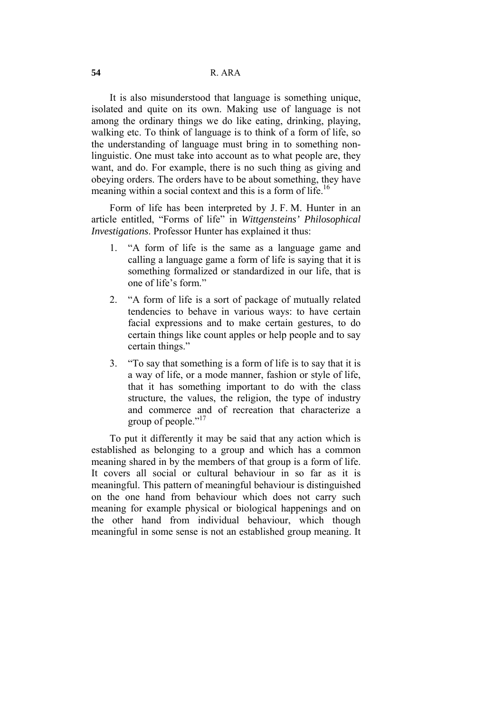It is also misunderstood that language is something unique, isolated and quite on its own. Making use of language is not among the ordinary things we do like eating, drinking, playing, walking etc. To think of language is to think of a form of life, so the understanding of language must bring in to something nonlinguistic. One must take into account as to what people are, they want, and do. For example, there is no such thing as giving and obeying orders. The orders have to be about something, they have meaning within a social context and this is a form of life.<sup>16</sup>

 Form of life has been interpreted by J. F. M. Hunter in an article entitled, "Forms of life" in *Wittgensteins' Philosophical Investigations*. Professor Hunter has explained it thus:

- 1. "A form of life is the same as a language game and calling a language game a form of life is saying that it is something formalized or standardized in our life, that is one of life's form."
- 2. "A form of life is a sort of package of mutually related tendencies to behave in various ways: to have certain facial expressions and to make certain gestures, to do certain things like count apples or help people and to say certain things."
- 3. "To say that something is a form of life is to say that it is a way of life, or a mode manner, fashion or style of life, that it has something important to do with the class structure, the values, the religion, the type of industry and commerce and of recreation that characterize a group of people."<sup>17</sup>

 To put it differently it may be said that any action which is established as belonging to a group and which has a common meaning shared in by the members of that group is a form of life. It covers all social or cultural behaviour in so far as it is meaningful. This pattern of meaningful behaviour is distinguished on the one hand from behaviour which does not carry such meaning for example physical or biological happenings and on the other hand from individual behaviour, which though meaningful in some sense is not an established group meaning. It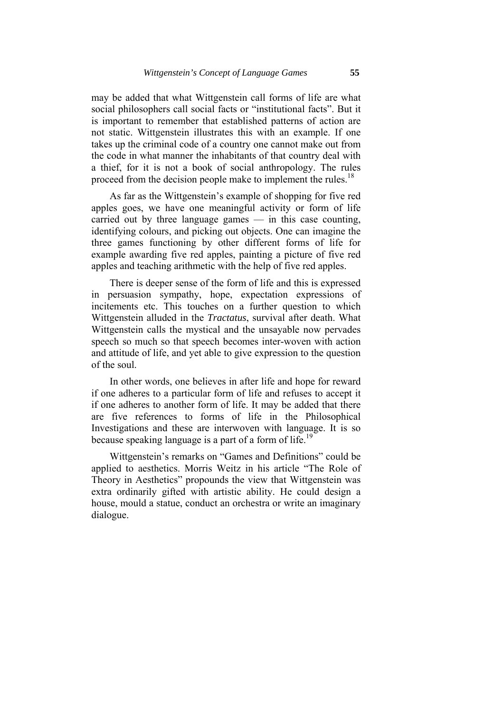may be added that what Wittgenstein call forms of life are what social philosophers call social facts or "institutional facts". But it is important to remember that established patterns of action are not static. Wittgenstein illustrates this with an example. If one takes up the criminal code of a country one cannot make out from the code in what manner the inhabitants of that country deal with a thief, for it is not a book of social anthropology. The rules proceed from the decision people make to implement the rules.<sup>18</sup>

 As far as the Wittgenstein's example of shopping for five red apples goes, we have one meaningful activity or form of life carried out by three language games — in this case counting, identifying colours, and picking out objects. One can imagine the three games functioning by other different forms of life for example awarding five red apples, painting a picture of five red apples and teaching arithmetic with the help of five red apples.

 There is deeper sense of the form of life and this is expressed in persuasion sympathy, hope, expectation expressions of incitements etc. This touches on a further question to which Wittgenstein alluded in the *Tractatus*, survival after death. What Wittgenstein calls the mystical and the unsayable now pervades speech so much so that speech becomes inter-woven with action and attitude of life, and yet able to give expression to the question of the soul.

 In other words, one believes in after life and hope for reward if one adheres to a particular form of life and refuses to accept it if one adheres to another form of life. It may be added that there are five references to forms of life in the Philosophical Investigations and these are interwoven with language. It is so because speaking language is a part of a form of life.<sup>19</sup>

 Wittgenstein's remarks on "Games and Definitions" could be applied to aesthetics. Morris Weitz in his article "The Role of Theory in Aesthetics" propounds the view that Wittgenstein was extra ordinarily gifted with artistic ability. He could design a house, mould a statue, conduct an orchestra or write an imaginary dialogue.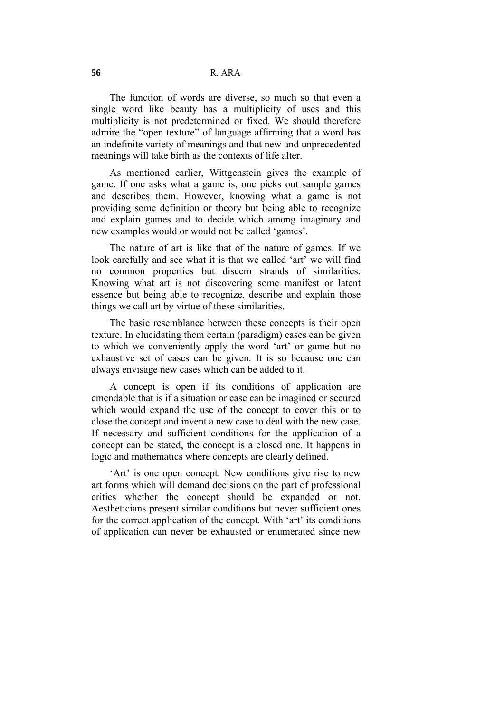The function of words are diverse, so much so that even a single word like beauty has a multiplicity of uses and this multiplicity is not predetermined or fixed. We should therefore admire the "open texture" of language affirming that a word has an indefinite variety of meanings and that new and unprecedented meanings will take birth as the contexts of life alter.

 As mentioned earlier, Wittgenstein gives the example of game. If one asks what a game is, one picks out sample games and describes them. However, knowing what a game is not providing some definition or theory but being able to recognize and explain games and to decide which among imaginary and new examples would or would not be called 'games'.

 The nature of art is like that of the nature of games. If we look carefully and see what it is that we called 'art' we will find no common properties but discern strands of similarities. Knowing what art is not discovering some manifest or latent essence but being able to recognize, describe and explain those things we call art by virtue of these similarities.

 The basic resemblance between these concepts is their open texture. In elucidating them certain (paradigm) cases can be given to which we conveniently apply the word 'art' or game but no exhaustive set of cases can be given. It is so because one can always envisage new cases which can be added to it.

 A concept is open if its conditions of application are emendable that is if a situation or case can be imagined or secured which would expand the use of the concept to cover this or to close the concept and invent a new case to deal with the new case. If necessary and sufficient conditions for the application of a concept can be stated, the concept is a closed one. It happens in logic and mathematics where concepts are clearly defined.

 'Art' is one open concept. New conditions give rise to new art forms which will demand decisions on the part of professional critics whether the concept should be expanded or not. Aestheticians present similar conditions but never sufficient ones for the correct application of the concept. With 'art' its conditions of application can never be exhausted or enumerated since new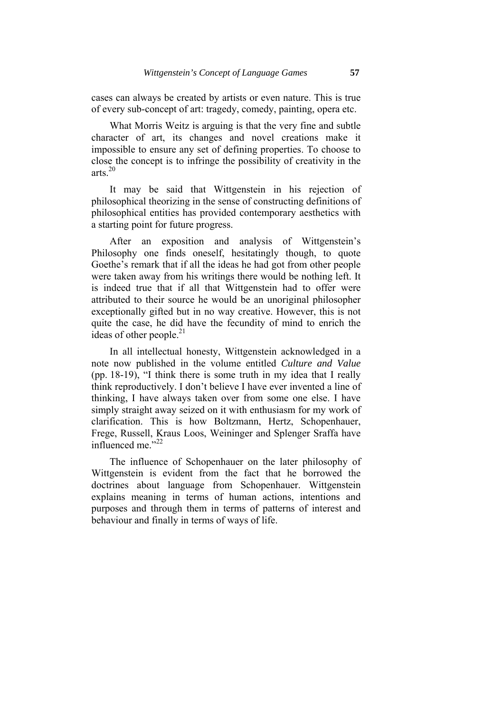cases can always be created by artists or even nature. This is true of every sub-concept of art: tragedy, comedy, painting, opera etc.

 What Morris Weitz is arguing is that the very fine and subtle character of art, its changes and novel creations make it impossible to ensure any set of defining properties. To choose to close the concept is to infringe the possibility of creativity in the arts.20

 It may be said that Wittgenstein in his rejection of philosophical theorizing in the sense of constructing definitions of philosophical entities has provided contemporary aesthetics with a starting point for future progress.

 After an exposition and analysis of Wittgenstein's Philosophy one finds oneself, hesitatingly though, to quote Goethe's remark that if all the ideas he had got from other people were taken away from his writings there would be nothing left. It is indeed true that if all that Wittgenstein had to offer were attributed to their source he would be an unoriginal philosopher exceptionally gifted but in no way creative. However, this is not quite the case, he did have the fecundity of mind to enrich the ideas of other people.<sup>21</sup>

 In all intellectual honesty, Wittgenstein acknowledged in a note now published in the volume entitled *Culture and Value* (pp. 18-19), "I think there is some truth in my idea that I really think reproductively. I don't believe I have ever invented a line of thinking, I have always taken over from some one else. I have simply straight away seized on it with enthusiasm for my work of clarification. This is how Boltzmann, Hertz, Schopenhauer, Frege, Russell, Kraus Loos, Weininger and Splenger Sraffa have influenced me."<sup>22</sup>

 The influence of Schopenhauer on the later philosophy of Wittgenstein is evident from the fact that he borrowed the doctrines about language from Schopenhauer. Wittgenstein explains meaning in terms of human actions, intentions and purposes and through them in terms of patterns of interest and behaviour and finally in terms of ways of life.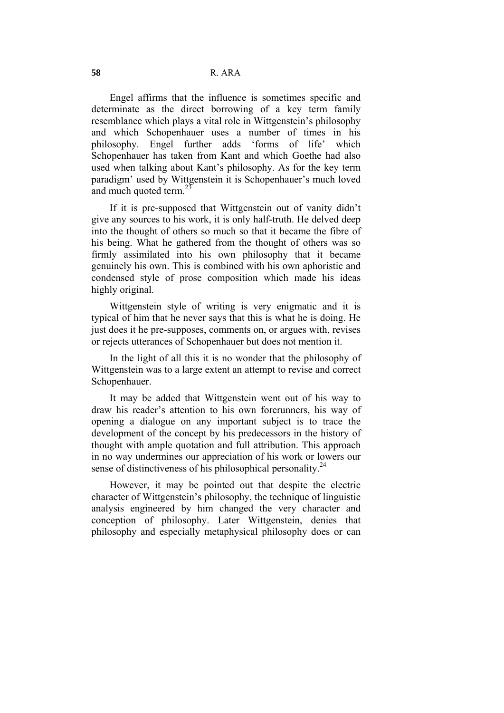Engel affirms that the influence is sometimes specific and determinate as the direct borrowing of a key term family resemblance which plays a vital role in Wittgenstein's philosophy and which Schopenhauer uses a number of times in his philosophy. Engel further adds 'forms of life' which Schopenhauer has taken from Kant and which Goethe had also used when talking about Kant's philosophy. As for the key term paradigm' used by Wittgenstein it is Schopenhauer's much loved and much quoted term. $^{23}$ 

 If it is pre-supposed that Wittgenstein out of vanity didn't give any sources to his work, it is only half-truth. He delved deep into the thought of others so much so that it became the fibre of his being. What he gathered from the thought of others was so firmly assimilated into his own philosophy that it became genuinely his own. This is combined with his own aphoristic and condensed style of prose composition which made his ideas highly original.

 Wittgenstein style of writing is very enigmatic and it is typical of him that he never says that this is what he is doing. He just does it he pre-supposes, comments on, or argues with, revises or rejects utterances of Schopenhauer but does not mention it.

 In the light of all this it is no wonder that the philosophy of Wittgenstein was to a large extent an attempt to revise and correct Schopenhauer.

 It may be added that Wittgenstein went out of his way to draw his reader's attention to his own forerunners, his way of opening a dialogue on any important subject is to trace the development of the concept by his predecessors in the history of thought with ample quotation and full attribution. This approach in no way undermines our appreciation of his work or lowers our sense of distinctiveness of his philosophical personality.<sup>24</sup>

 However, it may be pointed out that despite the electric character of Wittgenstein's philosophy, the technique of linguistic analysis engineered by him changed the very character and conception of philosophy. Later Wittgenstein, denies that philosophy and especially metaphysical philosophy does or can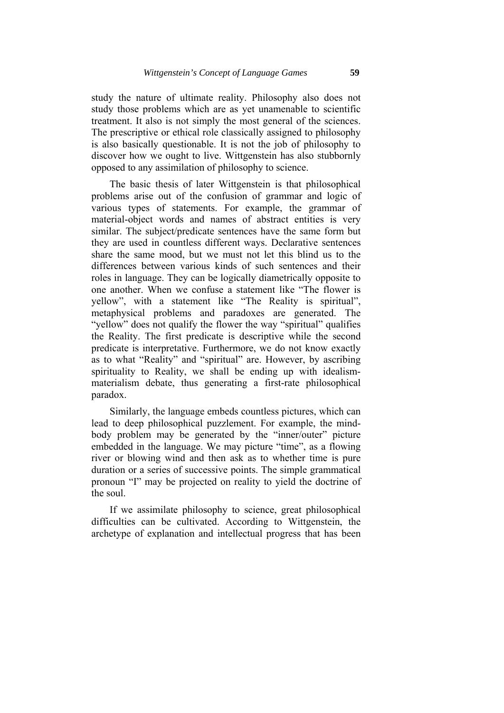study the nature of ultimate reality. Philosophy also does not study those problems which are as yet unamenable to scientific treatment. It also is not simply the most general of the sciences. The prescriptive or ethical role classically assigned to philosophy is also basically questionable. It is not the job of philosophy to discover how we ought to live. Wittgenstein has also stubbornly opposed to any assimilation of philosophy to science.

 The basic thesis of later Wittgenstein is that philosophical problems arise out of the confusion of grammar and logic of various types of statements. For example, the grammar of material-object words and names of abstract entities is very similar. The subject/predicate sentences have the same form but they are used in countless different ways. Declarative sentences share the same mood, but we must not let this blind us to the differences between various kinds of such sentences and their roles in language. They can be logically diametrically opposite to one another. When we confuse a statement like "The flower is yellow", with a statement like "The Reality is spiritual", metaphysical problems and paradoxes are generated. The "yellow" does not qualify the flower the way "spiritual" qualifies the Reality. The first predicate is descriptive while the second predicate is interpretative. Furthermore, we do not know exactly as to what "Reality" and "spiritual" are. However, by ascribing spirituality to Reality, we shall be ending up with idealismmaterialism debate, thus generating a first-rate philosophical paradox.

 Similarly, the language embeds countless pictures, which can lead to deep philosophical puzzlement. For example, the mindbody problem may be generated by the "inner/outer" picture embedded in the language. We may picture "time", as a flowing river or blowing wind and then ask as to whether time is pure duration or a series of successive points. The simple grammatical pronoun "I" may be projected on reality to yield the doctrine of the soul.

 If we assimilate philosophy to science, great philosophical difficulties can be cultivated. According to Wittgenstein, the archetype of explanation and intellectual progress that has been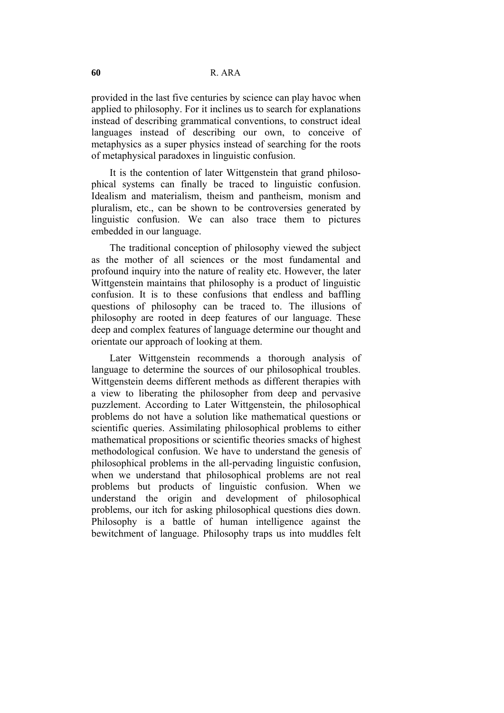provided in the last five centuries by science can play havoc when applied to philosophy. For it inclines us to search for explanations instead of describing grammatical conventions, to construct ideal languages instead of describing our own, to conceive of metaphysics as a super physics instead of searching for the roots of metaphysical paradoxes in linguistic confusion.

 It is the contention of later Wittgenstein that grand philosophical systems can finally be traced to linguistic confusion. Idealism and materialism, theism and pantheism, monism and pluralism, etc., can be shown to be controversies generated by linguistic confusion. We can also trace them to pictures embedded in our language.

 The traditional conception of philosophy viewed the subject as the mother of all sciences or the most fundamental and profound inquiry into the nature of reality etc. However, the later Wittgenstein maintains that philosophy is a product of linguistic confusion. It is to these confusions that endless and baffling questions of philosophy can be traced to. The illusions of philosophy are rooted in deep features of our language. These deep and complex features of language determine our thought and orientate our approach of looking at them.

 Later Wittgenstein recommends a thorough analysis of language to determine the sources of our philosophical troubles. Wittgenstein deems different methods as different therapies with a view to liberating the philosopher from deep and pervasive puzzlement. According to Later Wittgenstein, the philosophical problems do not have a solution like mathematical questions or scientific queries. Assimilating philosophical problems to either mathematical propositions or scientific theories smacks of highest methodological confusion. We have to understand the genesis of philosophical problems in the all-pervading linguistic confusion, when we understand that philosophical problems are not real problems but products of linguistic confusion. When we understand the origin and development of philosophical problems, our itch for asking philosophical questions dies down. Philosophy is a battle of human intelligence against the bewitchment of language. Philosophy traps us into muddles felt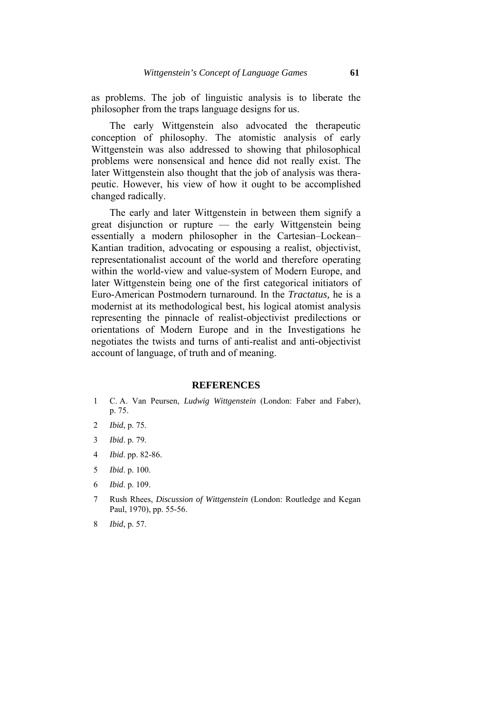as problems. The job of linguistic analysis is to liberate the philosopher from the traps language designs for us.

 The early Wittgenstein also advocated the therapeutic conception of philosophy. The atomistic analysis of early Wittgenstein was also addressed to showing that philosophical problems were nonsensical and hence did not really exist. The later Wittgenstein also thought that the job of analysis was therapeutic. However, his view of how it ought to be accomplished changed radically.

 The early and later Wittgenstein in between them signify a great disjunction or rupture — the early Wittgenstein being essentially a modern philosopher in the Cartesian–Lockean– Kantian tradition, advocating or espousing a realist, objectivist, representationalist account of the world and therefore operating within the world-view and value-system of Modern Europe, and later Wittgenstein being one of the first categorical initiators of Euro-American Postmodern turnaround. In the *Tractatus,* he is a modernist at its methodological best, his logical atomist analysis representing the pinnacle of realist-objectivist predilections or orientations of Modern Europe and in the Investigations he negotiates the twists and turns of anti-realist and anti-objectivist account of language, of truth and of meaning.

#### **REFERENCES**

- 1 C. A. Van Peursen, *Ludwig Wittgenstein* (London: Faber and Faber), p. 75.
- 2 *Ibid*, p. 75.
- 3 *Ibid*. p. 79.
- 4 *Ibid*. pp. 82-86.
- 5 *Ibid*. p. 100.
- 6 *Ibid*. p. 109.
- 7 Rush Rhees, *Discussion of Wittgenstein* (London: Routledge and Kegan Paul, 1970), pp. 55-56.
- 8 *Ibid*, p. 57.